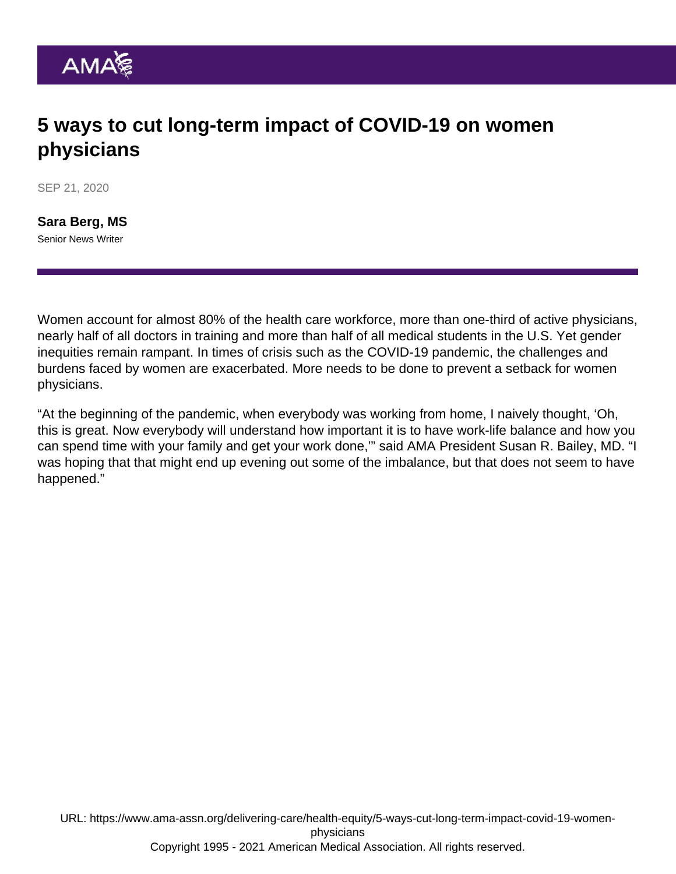# 5 ways to cut long-term impact of COVID-19 on women physicians

SEP 21, 2020

[Sara Berg, MS](https://www.ama-assn.org/news-leadership-viewpoints/authors-news-leadership-viewpoints/sara-berg-ms) Senior News Writer

Women account for almost 80% of the health care workforce, more than one-third of active physicians, nearly half of all doctors in training and more than half of all medical students in the U.S. Yet gender inequities remain rampant. In times of crisis such as the COVID-19 pandemic, the challenges and burdens faced by women are exacerbated. More needs to be done to prevent a setback for women physicians.

"At the beginning of the pandemic, when everybody was working from home, I naively thought, 'Oh, this is great. Now everybody will understand how important it is to have work-life balance and how you can spend time with your family and get your work done,'" said AMA President [Susan R. Bailey, MD.](https://www.ama-assn.org/about/board-trustees/susan-r-bailey-md) "I was hoping that that might end up evening out some of the imbalance, but that does not seem to have happened."

URL: [https://www.ama-assn.org/delivering-care/health-equity/5-ways-cut-long-term-impact-covid-19-women](https://www.ama-assn.org/delivering-care/health-equity/5-ways-cut-long-term-impact-covid-19-women-physicians)[physicians](https://www.ama-assn.org/delivering-care/health-equity/5-ways-cut-long-term-impact-covid-19-women-physicians) Copyright 1995 - 2021 American Medical Association. All rights reserved.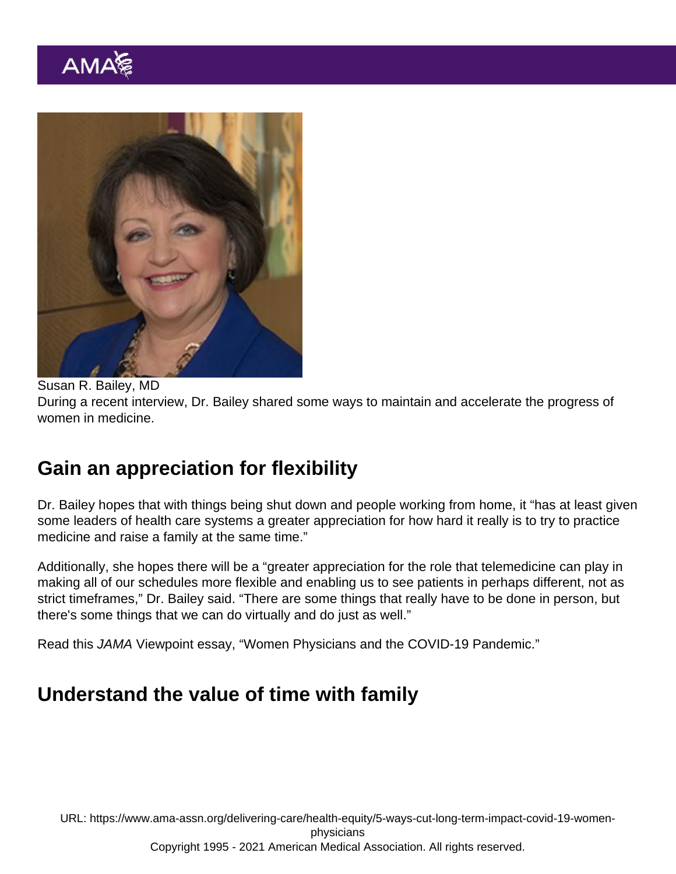Susan R. Bailey, MD During a recent interview, Dr. Bailey shared some ways to maintain and accelerate the progress of women in medicine.

## Gain an appreciation for flexibility

Dr. Bailey hopes that with things being shut down and people working from home, it "has at least given some leaders of health care systems a greater appreciation for how hard it really is to try to practice medicine and raise a family at the same time."

Additionally, she hopes there will be a "greater appreciation for the role that telemedicine can play in making all of our schedules more flexible and enabling us to see patients in perhaps different, not as strict timeframes," Dr. Bailey said. "There are some things that really have to be done in person, but there's some things that we can do virtually and do just as well."

Read this JAMA Viewpoint essay, "[Women Physicians and the COVID-19 Pandemic.](https://jamanetwork.com/journals/jama/fullarticle/2769140)"

#### Understand the value of time with family

URL: [https://www.ama-assn.org/delivering-care/health-equity/5-ways-cut-long-term-impact-covid-19-women](https://www.ama-assn.org/delivering-care/health-equity/5-ways-cut-long-term-impact-covid-19-women-physicians)[physicians](https://www.ama-assn.org/delivering-care/health-equity/5-ways-cut-long-term-impact-covid-19-women-physicians) Copyright 1995 - 2021 American Medical Association. All rights reserved.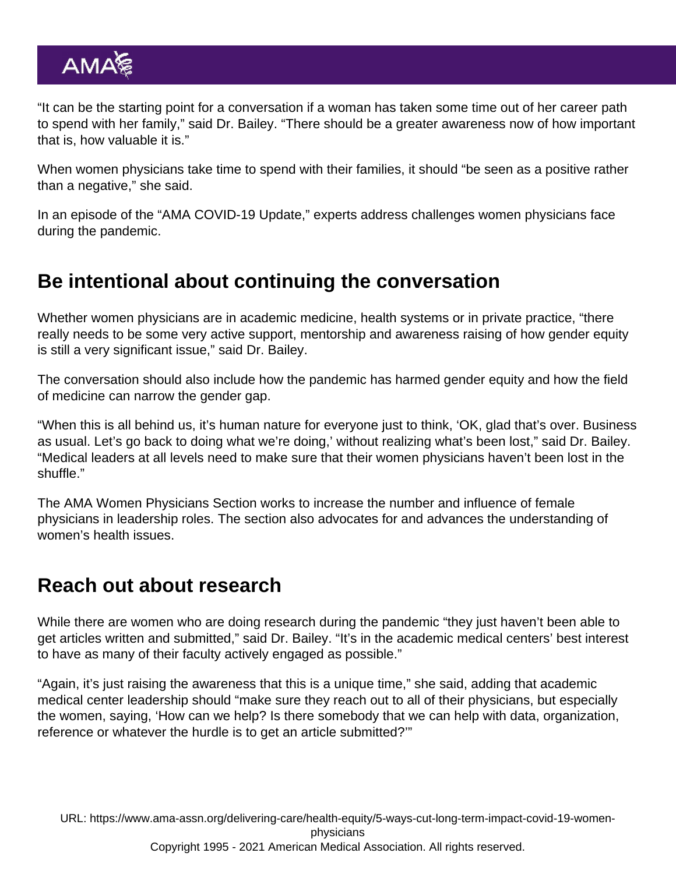"It can be the starting point for a conversation if a woman has taken some time out of her career path to spend with her family," said Dr. Bailey. "There should be a greater awareness now of how important that is, how valuable it is."

When women physicians take time to spend with their families, it should "be seen as a positive rather than a negative," she said.

In an episode of the "AMA COVID-19 Update," experts address [challenges women physicians face](https://www.ama-assn.org/practice-management/physician-diversity/ama-covid-19-daily-video-update-challenges-women-physicians) [during the pandemic.](https://www.ama-assn.org/practice-management/physician-diversity/ama-covid-19-daily-video-update-challenges-women-physicians)

### Be intentional about continuing the conversation

Whether women physicians are in academic medicine, health systems or in private practice, "there really needs to be some very active support, mentorship and awareness raising of how gender equity is still a very significant issue," said Dr. Bailey.

The conversation should also include how the pandemic has harmed gender equity and how the field of medicine can narrow the gender gap.

"When this is all behind us, it's human nature for everyone just to think, 'OK, glad that's over. Business as usual. Let's go back to doing what we're doing,' without realizing what's been lost," said Dr. Bailey. "Medical leaders at all levels need to make sure that their women physicians haven't been lost in the shuffle."

The [AMA Women Physicians Section](https://www.ama-assn.org/member-groups-sections/women-physicians) works to increase the number and influence of female physicians in leadership roles. The section also advocates for and advances the understanding of women's health issues.

#### Reach out about research

While there are women who are doing research during the pandemic "they just haven't been able to get articles written and submitted," said Dr. Bailey. "It's in the academic medical centers' best interest to have as many of their faculty actively engaged as possible."

"Again, it's just raising the awareness that this is a unique time," she said, adding that academic medical center leadership should "make sure they reach out to all of their physicians, but especially the women, saying, 'How can we help? Is there somebody that we can help with data, organization, reference or whatever the hurdle is to get an article submitted?'"

URL: [https://www.ama-assn.org/delivering-care/health-equity/5-ways-cut-long-term-impact-covid-19-women](https://www.ama-assn.org/delivering-care/health-equity/5-ways-cut-long-term-impact-covid-19-women-physicians)[physicians](https://www.ama-assn.org/delivering-care/health-equity/5-ways-cut-long-term-impact-covid-19-women-physicians) Copyright 1995 - 2021 American Medical Association. All rights reserved.